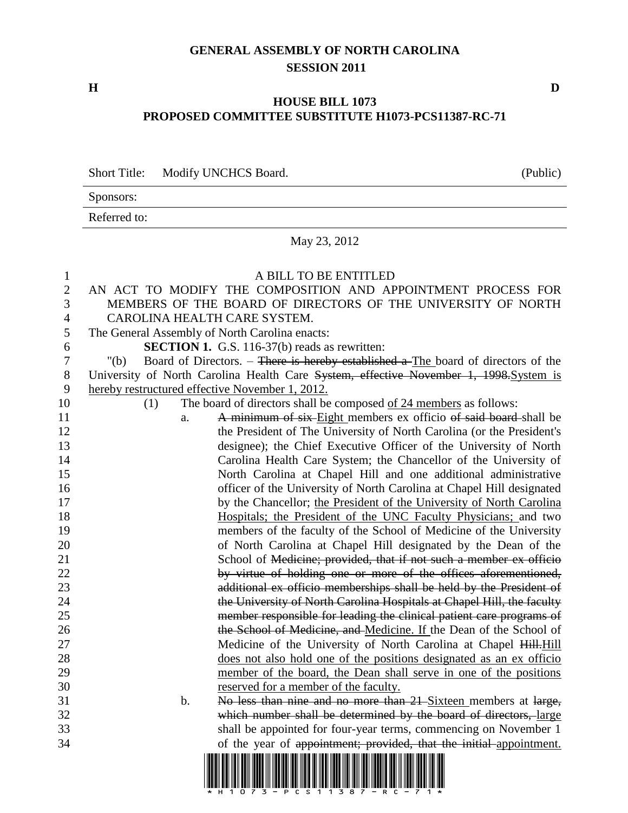## **GENERAL ASSEMBLY OF NORTH CAROLINA SESSION 2011**

**H D**

## **HOUSE BILL 1073 PROPOSED COMMITTEE SUBSTITUTE H1073-PCS11387-RC-71**

Short Title: Modify UNCHCS Board. (Public)

Sponsors:

Referred to:

## May 23, 2012

| $\mathbf{1}$<br>$\overline{2}$<br>3<br>$\overline{4}$ | A BILL TO BE ENTITLED<br>AN ACT TO MODIFY THE COMPOSITION AND APPOINTMENT PROCESS FOR<br>MEMBERS OF THE BOARD OF DIRECTORS OF THE UNIVERSITY OF NORTH<br>CAROLINA HEALTH CARE SYSTEM. |
|-------------------------------------------------------|---------------------------------------------------------------------------------------------------------------------------------------------------------------------------------------|
| 5                                                     | The General Assembly of North Carolina enacts:                                                                                                                                        |
| 6                                                     | <b>SECTION 1.</b> G.S. 116-37(b) reads as rewritten:                                                                                                                                  |
| $\boldsymbol{7}$                                      | Board of Directors. - There is hereby established a The board of directors of the<br>" $(b)$                                                                                          |
| 8                                                     | University of North Carolina Health Care System, effective November 1, 1998. System is                                                                                                |
| 9                                                     | hereby restructured effective November 1, 2012.                                                                                                                                       |
| 10                                                    | The board of directors shall be composed of 24 members as follows:<br>(1)                                                                                                             |
| 11                                                    | A minimum of six-Eight members ex officio of said board-shall be<br>a.                                                                                                                |
| 12                                                    | the President of The University of North Carolina (or the President's                                                                                                                 |
| 13                                                    | designee); the Chief Executive Officer of the University of North                                                                                                                     |
| 14                                                    | Carolina Health Care System; the Chancellor of the University of                                                                                                                      |
| 15                                                    | North Carolina at Chapel Hill and one additional administrative                                                                                                                       |
| 16                                                    | officer of the University of North Carolina at Chapel Hill designated                                                                                                                 |
| 17                                                    | by the Chancellor; the President of the University of North Carolina                                                                                                                  |
| 18                                                    | Hospitals; the President of the UNC Faculty Physicians; and two                                                                                                                       |
| 19                                                    | members of the faculty of the School of Medicine of the University                                                                                                                    |
| 20                                                    | of North Carolina at Chapel Hill designated by the Dean of the                                                                                                                        |
| 21                                                    | School of Medicine; provided, that if not such a member ex officio                                                                                                                    |
| 22                                                    | by virtue of holding one or more of the offices aforementioned,                                                                                                                       |
| 23                                                    | additional ex officio memberships shall be held by the President of                                                                                                                   |
| 24                                                    | the University of North Carolina Hospitals at Chapel Hill, the faculty                                                                                                                |
| 25                                                    | member responsible for leading the clinical patient care programs of                                                                                                                  |
| 26                                                    | the School of Medicine, and Medicine. If the Dean of the School of                                                                                                                    |
| 27                                                    | Medicine of the University of North Carolina at Chapel Hill. Hill                                                                                                                     |
| 28                                                    | does not also hold one of the positions designated as an ex officio                                                                                                                   |
| 29                                                    | member of the board, the Dean shall serve in one of the positions                                                                                                                     |
| 30                                                    | reserved for a member of the faculty.                                                                                                                                                 |
| 31                                                    | No less than nine and no more than 21 Sixteen members at large,<br>$\mathbf b$ .                                                                                                      |
| 32                                                    | which number shall be determined by the board of directors, large                                                                                                                     |
| 33                                                    | shall be appointed for four-year terms, commencing on November 1                                                                                                                      |
| 34                                                    | of the year of appointment; provided, that the initial appointment.                                                                                                                   |
|                                                       | <u> III de la contrada de la contrada de la contrada de la contrada de la contrada de la contrada de la contrada</u>                                                                  |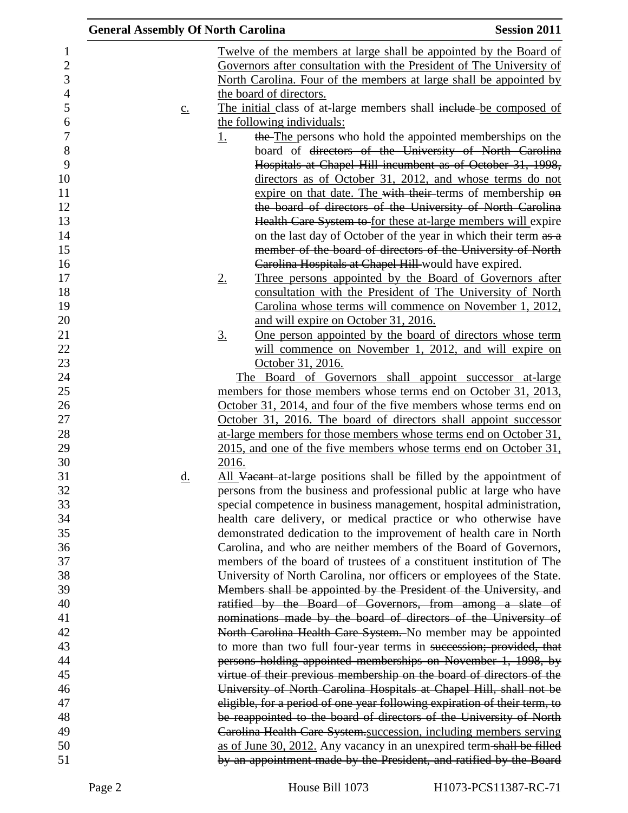| <b>General Assembly Of North Carolina</b> |                                                                                                                                               | <b>Session 2011</b> |
|-------------------------------------------|-----------------------------------------------------------------------------------------------------------------------------------------------|---------------------|
|                                           | <u>Twelve of the members at large shall be appointed by the Board of</u>                                                                      |                     |
|                                           | Governors after consultation with the President of The University of                                                                          |                     |
|                                           | North Carolina. Four of the members at large shall be appointed by                                                                            |                     |
|                                           | the board of directors.                                                                                                                       |                     |
| $\underline{c}$ .                         | The initial class of at-large members shall include be composed of                                                                            |                     |
|                                           | the following individuals:                                                                                                                    |                     |
|                                           | the The persons who hold the appointed memberships on the<br><u>1.</u>                                                                        |                     |
|                                           | board of directors of the University of North Carolina                                                                                        |                     |
|                                           | Hospitals at Chapel Hill incumbent as of October 31, 1998,                                                                                    |                     |
|                                           | directors as of October 31, 2012, and whose terms do not                                                                                      |                     |
|                                           | expire on that date. The with their terms of membership on                                                                                    |                     |
|                                           | the board of directors of the University of North Carolina                                                                                    |                     |
|                                           | Health Care System to for these at-large members will expire                                                                                  |                     |
|                                           | on the last day of October of the year in which their term as a                                                                               |                     |
|                                           | member of the board of directors of the University of North                                                                                   |                     |
|                                           | Carolina Hospitals at Chapel Hill-would have expired.                                                                                         |                     |
|                                           | Three persons appointed by the Board of Governors after<br>$2_{\cdot}$                                                                        |                     |
|                                           | consultation with the President of The University of North                                                                                    |                     |
|                                           | Carolina whose terms will commence on November 1, 2012,<br>and will expire on October 31, 2016.                                               |                     |
|                                           | <u>One person appointed by the board of directors whose term</u><br><u>3.</u>                                                                 |                     |
|                                           | will commence on November 1, 2012, and will expire on                                                                                         |                     |
|                                           | October 31, 2016.                                                                                                                             |                     |
|                                           | The Board of Governors shall appoint successor at-large                                                                                       |                     |
|                                           | members for those members whose terms end on October 31, 2013,                                                                                |                     |
|                                           | October 31, 2014, and four of the five members whose terms end on                                                                             |                     |
|                                           | October 31, 2016. The board of directors shall appoint successor                                                                              |                     |
|                                           | at-large members for those members whose terms end on October 31,                                                                             |                     |
|                                           | 2015, and one of the five members whose terms end on October 31,                                                                              |                     |
|                                           | 2016.                                                                                                                                         |                     |
| d.                                        | All Vacant-at-large positions shall be filled by the appointment of                                                                           |                     |
|                                           | persons from the business and professional public at large who have                                                                           |                     |
|                                           | special competence in business management, hospital administration,                                                                           |                     |
|                                           | health care delivery, or medical practice or who otherwise have                                                                               |                     |
|                                           | demonstrated dedication to the improvement of health care in North                                                                            |                     |
|                                           | Carolina, and who are neither members of the Board of Governors,                                                                              |                     |
|                                           | members of the board of trustees of a constituent institution of The<br>University of North Carolina, nor officers or employees of the State. |                     |
|                                           | Members shall be appointed by the President of the University, and                                                                            |                     |
|                                           | ratified by the Board of Governors, from among a slate of                                                                                     |                     |
|                                           | nominations made by the board of directors of the University of                                                                               |                     |
|                                           | North Carolina Health Care System. No member may be appointed                                                                                 |                     |
|                                           | to more than two full four-year terms in succession; provided, that                                                                           |                     |
|                                           | persons holding appointed memberships on November 1, 1998, by                                                                                 |                     |
|                                           | virtue of their previous membership on the board of directors of the                                                                          |                     |
|                                           | University of North Carolina Hospitals at Chapel Hill, shall not be                                                                           |                     |
|                                           | eligible, for a period of one year following expiration of their term, to                                                                     |                     |
|                                           | be reappointed to the board of directors of the University of North                                                                           |                     |
|                                           | Carolina Health Care System succession, including members serving                                                                             |                     |
|                                           | as of June 30, 2012. Any vacancy in an unexpired term-shall be filled                                                                         |                     |
|                                           | by an appointment made by the President, and ratified by the Board                                                                            |                     |
|                                           |                                                                                                                                               |                     |